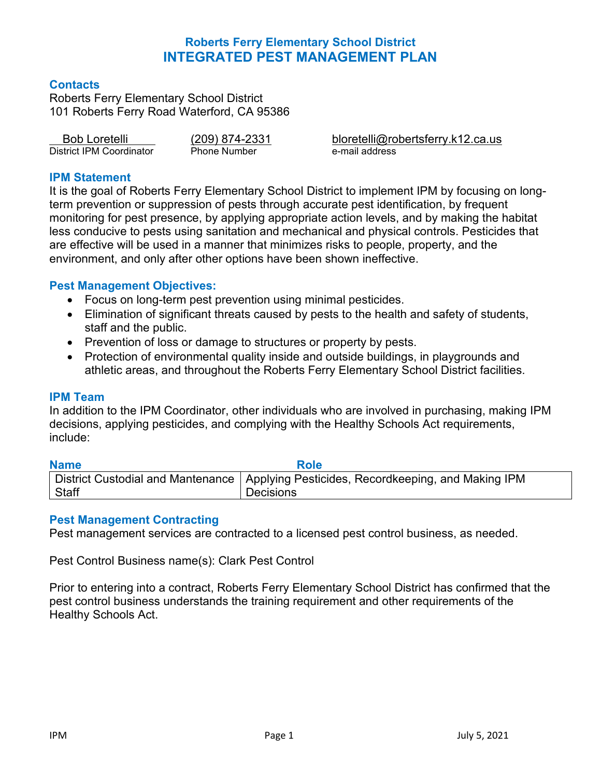### **Contacts**

Roberts Ferry Elementary School District 101 Roberts Ferry Road Waterford, CA 95386

| <b>Bob Loretelli</b>     | (209) 874-2331      |  |  |
|--------------------------|---------------------|--|--|
| District IPM Coordinator | <b>Phone Number</b> |  |  |

bloretelli@robertsferry.k12.ca.us e-mail address

### **IPM Statement**

It is the goal of Roberts Ferry Elementary School District to implement IPM by focusing on longterm prevention or suppression of pests through accurate pest identification, by frequent monitoring for pest presence, by applying appropriate action levels, and by making the habitat less conducive to pests using sanitation and mechanical and physical controls. Pesticides that are effective will be used in a manner that minimizes risks to people, property, and the environment, and only after other options have been shown ineffective.

### **Pest Management Objectives:**

- Focus on long-term pest prevention using minimal pesticides.
- Elimination of significant threats caused by pests to the health and safety of students, staff and the public.
- Prevention of loss or damage to structures or property by pests.
- Protection of environmental quality inside and outside buildings, in playgrounds and athletic areas, and throughout the Roberts Ferry Elementary School District facilities.

#### **IPM Team**

In addition to the IPM Coordinator, other individuals who are involved in purchasing, making IPM decisions, applying pesticides, and complying with the Healthy Schools Act requirements, include:

# **Name Role**

|         | ∣ District Custodial and Mantenance │ Applying Pesticides, Recordkeeping, and Making IPM |
|---------|------------------------------------------------------------------------------------------|
| ∣ Staff | Decisions                                                                                |

### **Pest Management Contracting**

Pest management services are contracted to a licensed pest control business, as needed.

Pest Control Business name(s): Clark Pest Control

Prior to entering into a contract, Roberts Ferry Elementary School District has confirmed that the pest control business understands the training requirement and other requirements of the Healthy Schools Act.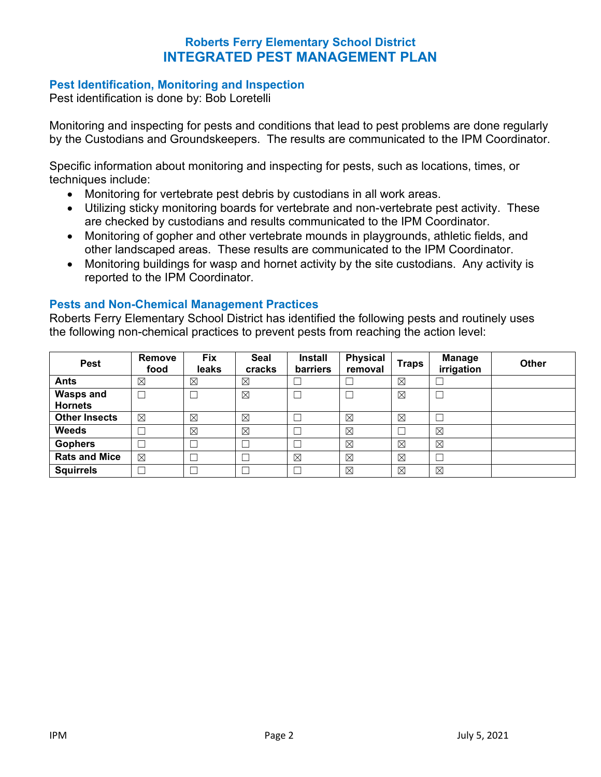### **Pest Identification, Monitoring and Inspection**

Pest identification is done by: Bob Loretelli

Monitoring and inspecting for pests and conditions that lead to pest problems are done regularly by the Custodians and Groundskeepers. The results are communicated to the IPM Coordinator.

Specific information about monitoring and inspecting for pests, such as locations, times, or techniques include:

- Monitoring for vertebrate pest debris by custodians in all work areas.
- Utilizing sticky monitoring boards for vertebrate and non-vertebrate pest activity. These are checked by custodians and results communicated to the IPM Coordinator.
- Monitoring of gopher and other vertebrate mounds in playgrounds, athletic fields, and other landscaped areas. These results are communicated to the IPM Coordinator.
- Monitoring buildings for wasp and hornet activity by the site custodians. Any activity is reported to the IPM Coordinator.

#### **Pests and Non-Chemical Management Practices**

Roberts Ferry Elementary School District has identified the following pests and routinely uses the following non-chemical practices to prevent pests from reaching the action level:

| <b>Pest</b>                        | Remove<br>food | <b>Fix</b><br>leaks | Seal<br>cracks | <b>Install</b><br>barriers | <b>Physical</b><br>removal | Traps       | <b>Manage</b><br>irrigation | <b>Other</b> |
|------------------------------------|----------------|---------------------|----------------|----------------------------|----------------------------|-------------|-----------------------------|--------------|
| <b>Ants</b>                        | ⊠              | $\boxtimes$         | $\boxtimes$    | ட                          |                            | $\boxtimes$ |                             |              |
| <b>Wasps and</b><br><b>Hornets</b> |                |                     | $\boxtimes$    | ∟                          |                            | ⊠           |                             |              |
| <b>Other Insects</b>               | $\boxtimes$    | $\boxtimes$         | $\boxtimes$    |                            | $\boxtimes$                | $\boxtimes$ |                             |              |
| <b>Weeds</b>                       |                | $\boxtimes$         | $\boxtimes$    |                            | $\boxtimes$                |             | $\boxtimes$                 |              |
| <b>Gophers</b>                     |                |                     |                |                            | $\boxtimes$                | $\boxtimes$ | $\boxtimes$                 |              |
| <b>Rats and Mice</b>               | $\boxtimes$    |                     |                | $\boxtimes$                | $\boxtimes$                | $\boxtimes$ |                             |              |
| <b>Squirrels</b>                   |                |                     |                |                            | $\boxtimes$                | $\boxtimes$ | ⊠                           |              |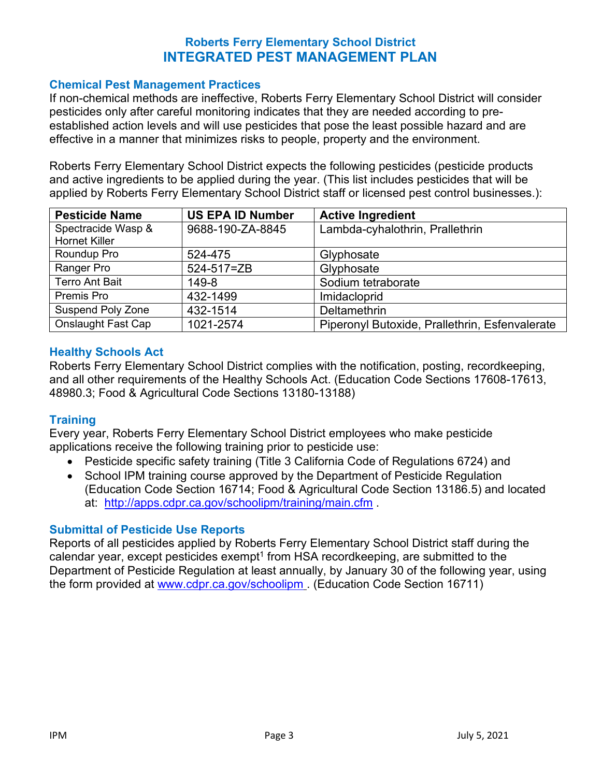### **Chemical Pest Management Practices**

If non-chemical methods are ineffective, Roberts Ferry Elementary School District will consider pesticides only after careful monitoring indicates that they are needed according to preestablished action levels and will use pesticides that pose the least possible hazard and are effective in a manner that minimizes risks to people, property and the environment.

Roberts Ferry Elementary School District expects the following pesticides (pesticide products and active ingredients to be applied during the year. (This list includes pesticides that will be applied by Roberts Ferry Elementary School District staff or licensed pest control businesses.):

| <b>Pesticide Name</b>                      | <b>US EPA ID Number</b> | <b>Active Ingredient</b>                       |
|--------------------------------------------|-------------------------|------------------------------------------------|
| Spectracide Wasp &<br><b>Hornet Killer</b> | 9688-190-ZA-8845        | Lambda-cyhalothrin, Prallethrin                |
| Roundup Pro                                | 524-475                 | Glyphosate                                     |
| Ranger Pro                                 | 524-517=ZB              | Glyphosate                                     |
| <b>Terro Ant Bait</b>                      | 149-8                   | Sodium tetraborate                             |
| Premis Pro                                 | 432-1499                | Imidacloprid                                   |
| <b>Suspend Poly Zone</b>                   | 432-1514                | Deltamethrin                                   |
| Onslaught Fast Cap                         | 1021-2574               | Piperonyl Butoxide, Prallethrin, Esfenvalerate |

### **Healthy Schools Act**

Roberts Ferry Elementary School District complies with the notification, posting, recordkeeping, and all other requirements of the Healthy Schools Act. (Education Code Sections 17608-17613, 48980.3; Food & Agricultural Code Sections 13180-13188)

### **Training**

Every year, Roberts Ferry Elementary School District employees who make pesticide applications receive the following training prior to pesticide use:

- Pesticide specific safety training (Title 3 California Code of Regulations 6724) and
- School IPM training course approved by the Department of Pesticide Regulation (Education Code Section 16714; Food & Agricultural Code Section 13186.5) and located at: <http://apps.cdpr.ca.gov/schoolipm/training/main.cfm> .

### **Submittal of Pesticide Use Reports**

Reports of all pesticides applied by Roberts Ferry Elementary School District staff during the calendar year, except pesticides exempt<sup>1</sup> from HSA recordkeeping, are submitted to the Department of Pesticide Regulation at least annually, by January 30 of the following year, using the form provided at [www.cdpr.ca.gov/schoolipm](http://www.cdpr.ca.gov/schoolipm) . (Education Code Section 16711)